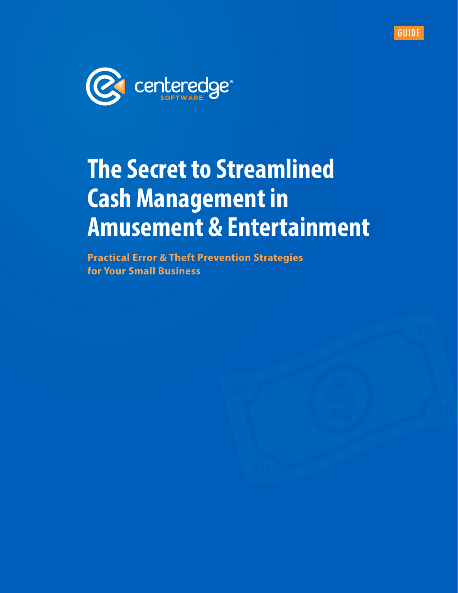



# **The Secret to Streamlined Cash Management in Amusement & Entertainment**

**Practical Error & Theft Prevention Strategies for Your Small Business**

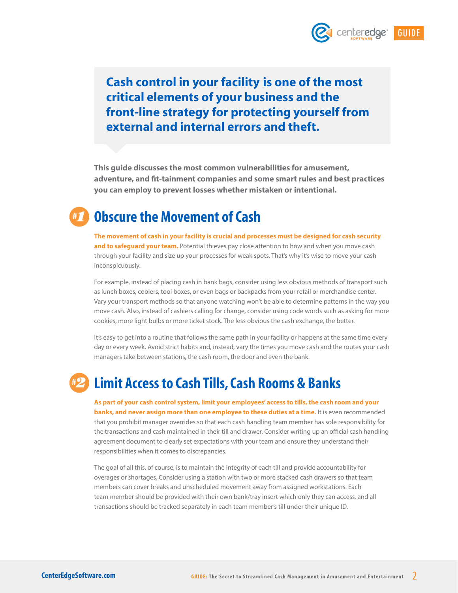

# **Cash control in your facility is one of the most critical elements of your business and the front-line strategy for protecting yourself from external and internal errors and theft.**

**This guide discusses the most common vulnerabilities for amusement, adventure, and fit-tainment companies and some smart rules and best practices you can employ to prevent losses whether mistaken or intentional.**

## **Obscure the Movement of Cash** *#1*

**The movement of cash in your facility is crucial and processes must be designed for cash security**  and to safeguard your team. Potential thieves pay close attention to how and when you move cash through your facility and size up your processes for weak spots. That's why it's wise to move your cash inconspicuously.

For example, instead of placing cash in bank bags, consider using less obvious methods of transport such as lunch boxes, coolers, tool boxes, or even bags or backpacks from your retail or merchandise center. Vary your transport methods so that anyone watching won't be able to determine patterns in the way you move cash. Also, instead of cashiers calling for change, consider using code words such as asking for more cookies, more light bulbs or more ticket stock. The less obvious the cash exchange, the better.

It's easy to get into a routine that follows the same path in your facility or happens at the same time every day or every week. Avoid strict habits and, instead, vary the times you move cash and the routes your cash managers take between stations, the cash room, the door and even the bank.

## **Limit Access to Cash Tills, Cash Rooms & Banks** *#2*

**As part of your cash control system, limit your employees' access to tills, the cash room and your banks, and never assign more than one employee to these duties at a time.** It is even recommended that you prohibit manager overrides so that each cash handling team member has sole responsibility for the transactions and cash maintained in their till and drawer. Consider writing up an official cash handling agreement document to clearly set expectations with your team and ensure they understand their responsibilities when it comes to discrepancies.

The goal of all this, of course, is to maintain the integrity of each till and provide accountability for overages or shortages. Consider using a station with two or more stacked cash drawers so that team members can cover breaks and unscheduled movement away from assigned workstations. Each team member should be provided with their own bank/tray insert which only they can access, and all transactions should be tracked separately in each team member's till under their unique ID.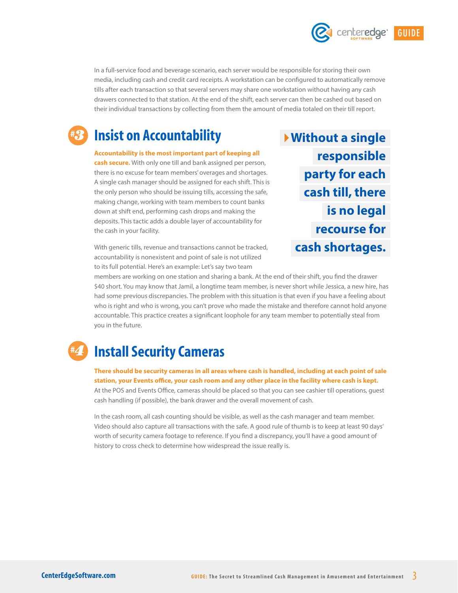

## **Insist on Accountability** *#3*

**Accountability is the most important part of keeping all cash secure.** With only one till and bank assigned per person,

there is no excuse for team members' overages and shortages. A single cash manager should be assigned for each shift. This is the only person who should be issuing tills, accessing the safe, making change, working with team members to count banks down at shift end, performing cash drops and making the deposits. This tactic adds a double layer of accountability for the cash in your facility.

With generic tills, revenue and transactions cannot be tracked, accountability is nonexistent and point of sale is not utilized to its full potential. Here's an example: Let's say two team

**Without a single responsible party for each cash till, there is no legal recourse for cash shortages.**  **GUIDE**

centeredge<sup>®</sup>

members are working on one station and sharing a bank. At the end of their shift, you find the drawer \$40 short. You may know that Jamil, a longtime team member, is never short while Jessica, a new hire, has had some previous discrepancies. The problem with this situation is that even if you have a feeling about who is right and who is wrong, you can't prove who made the mistake and therefore cannot hold anyone accountable. This practice creates a significant loophole for any team member to potentially steal from you in the future.

## **Install Security Cameras**  *#4*

**There should be security cameras in all areas where cash is handled, including at each point of sale station, your Events office, your cash room and any other place in the facility where cash is kept.**  At the POS and Events Office, cameras should be placed so that you can see cashier till operations, guest cash handling (if possible), the bank drawer and the overall movement of cash.

In the cash room, all cash counting should be visible, as well as the cash manager and team member. Video should also capture all transactions with the safe. A good rule of thumb is to keep at least 90 days' worth of security camera footage to reference. If you find a discrepancy, you'll have a good amount of history to cross check to determine how widespread the issue really is.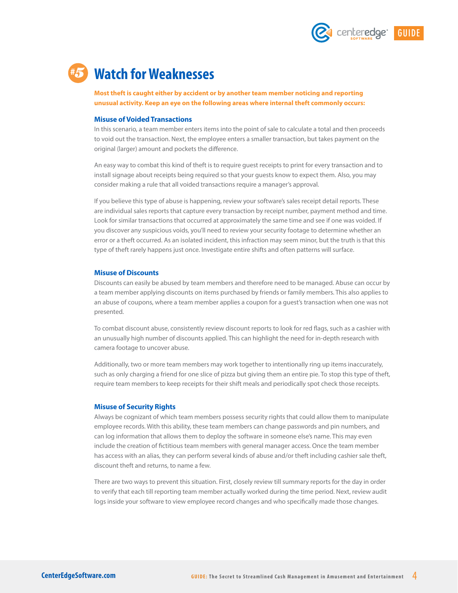

# **Watch for Weaknesses** *#5*

**Most theft is caught either by accident or by another team member noticing and reporting unusual activity. Keep an eye on the following areas where internal theft commonly occurs:**

#### **Misuse of Voided Transactions**

In this scenario, a team member enters items into the point of sale to calculate a total and then proceeds to void out the transaction. Next, the employee enters a smaller transaction, but takes payment on the original (larger) amount and pockets the difference.

An easy way to combat this kind of theft is to require guest receipts to print for every transaction and to install signage about receipts being required so that your guests know to expect them. Also, you may consider making a rule that all voided transactions require a manager's approval.

If you believe this type of abuse is happening, review your software's sales receipt detail reports. These are individual sales reports that capture every transaction by receipt number, payment method and time. Look for similar transactions that occurred at approximately the same time and see if one was voided. If you discover any suspicious voids, you'll need to review your security footage to determine whether an error or a theft occurred. As an isolated incident, this infraction may seem minor, but the truth is that this type of theft rarely happens just once. Investigate entire shifts and often patterns will surface.

#### **Misuse of Discounts**

Discounts can easily be abused by team members and therefore need to be managed. Abuse can occur by a team member applying discounts on items purchased by friends or family members. This also applies to an abuse of coupons, where a team member applies a coupon for a guest's transaction when one was not presented.

To combat discount abuse, consistently review discount reports to look for red flags, such as a cashier with an unusually high number of discounts applied. This can highlight the need for in-depth research with camera footage to uncover abuse.

Additionally, two or more team members may work together to intentionally ring up items inaccurately, such as only charging a friend for one slice of pizza but giving them an entire pie. To stop this type of theft, require team members to keep receipts for their shift meals and periodically spot check those receipts.

#### **Misuse of Security Rights**

Always be cognizant of which team members possess security rights that could allow them to manipulate employee records. With this ability, these team members can change passwords and pin numbers, and can log information that allows them to deploy the software in someone else's name. This may even include the creation of fictitious team members with general manager access. Once the team member has access with an alias, they can perform several kinds of abuse and/or theft including cashier sale theft, discount theft and returns, to name a few.

There are two ways to prevent this situation. First, closely review till summary reports for the day in order to verify that each till reporting team member actually worked during the time period. Next, review audit logs inside your software to view employee record changes and who specifically made those changes.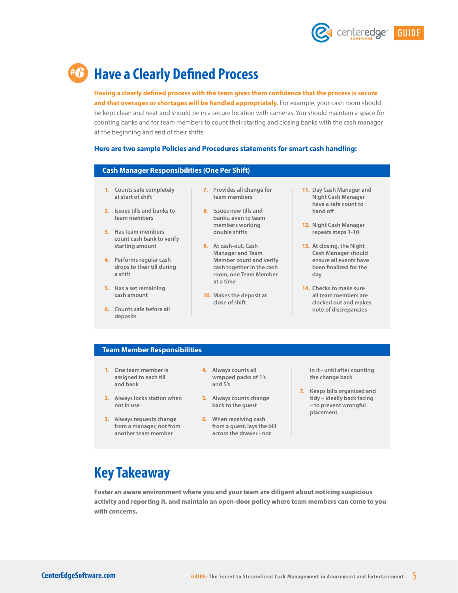

# **Have a Clearly Defined Process** *#6*

**Having a clearly defined process with the team gives them confidence that the process is secure**  and that overages or shortages will be handled appropriately. For example, your cash room should be kept clean and neat and should be in a secure location with cameras. You should maintain a space for counting banks and for team members to count their starting and closing banks with the cash manager at the beginning and end of their shifts.

#### **Here are two sample Policies and Procedures statements for smart cash handling:**

#### **Cash Manager Responsibilities (One Per Shift)**

- **1. Counts safe completely at start of shift**
- **2. Issues tills and banks to team members**
- **3. Has team members count cash bank to verify starting amount**
- **4. Performs regular cash drops to their till during a shift**
- **5. Has a set remaining cash amount**
- **6. Counts safe before all deposits**
- **7. Provides all change for team members**
- **8. Issues new tills and banks, even to team members working double shifts**
- **9. At cash-out, Cash Manager and Team Member count and verify cash together in the cash room, one Team Member at a time**
- **10. Makes the deposit at close of shift**
- **11. Day Cash Manager and Night Cash Manager have a safe count to hand off**
- **12. Night Cash Manager repeats steps 1-10**
- **13. At closing, the Night Cash Manager should ensure all events have been finalized for the day**
- **14. Checks to make sure all team members are clocked out and makes note of discrepancies**

#### **Team Member Responsibilities**

- **1. One team member is assigned to each till and bank**
- **2. Always locks station when not in use**
- **3. Always requests change from a manager, not from another team member**
- **4. Always counts all wrapped packs of 1's and 5's**
- **5. Always counts change back to the guest**
- **6. When receiving cash from a guest, lays the bill across the drawer - not**

**in it - until after counting the change back**

**7. Keeps bills organized and tidy – ideally back facing – to prevent wrongful placement**

# **Key Takeaway**

**Foster an aware environment where you and your team are diligent about noticing suspicious activity and reporting it, and maintain an open-door policy where team members can come to you with concerns.**